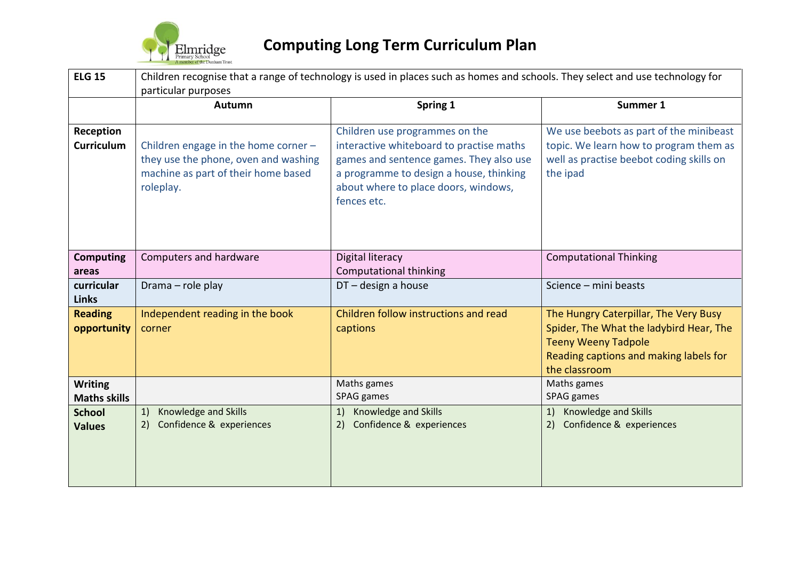

| <b>ELG 15</b>                         | Children recognise that a range of technology is used in places such as homes and schools. They select and use technology for<br>particular purposes |                                                                                                                                                                                                                         |                                                                                                                                                                           |  |  |  |  |
|---------------------------------------|------------------------------------------------------------------------------------------------------------------------------------------------------|-------------------------------------------------------------------------------------------------------------------------------------------------------------------------------------------------------------------------|---------------------------------------------------------------------------------------------------------------------------------------------------------------------------|--|--|--|--|
|                                       | Autumn                                                                                                                                               | Spring 1                                                                                                                                                                                                                | Summer 1                                                                                                                                                                  |  |  |  |  |
| Reception<br><b>Curriculum</b>        | Children engage in the home corner -<br>they use the phone, oven and washing<br>machine as part of their home based<br>roleplay.                     | Children use programmes on the<br>interactive whiteboard to practise maths<br>games and sentence games. They also use<br>a programme to design a house, thinking<br>about where to place doors, windows,<br>fences etc. | We use beebots as part of the minibeast<br>topic. We learn how to program them as<br>well as practise beebot coding skills on<br>the ipad                                 |  |  |  |  |
| <b>Computing</b><br>areas             | Computers and hardware                                                                                                                               | Digital literacy<br>Computational thinking                                                                                                                                                                              | <b>Computational Thinking</b>                                                                                                                                             |  |  |  |  |
| curricular<br><b>Links</b>            | Drama - role play                                                                                                                                    | $DT$ – design a house                                                                                                                                                                                                   | Science - mini beasts                                                                                                                                                     |  |  |  |  |
| <b>Reading</b><br>opportunity         | Independent reading in the book<br>corner                                                                                                            | Children follow instructions and read<br>captions                                                                                                                                                                       | The Hungry Caterpillar, The Very Busy<br>Spider, The What the ladybird Hear, The<br><b>Teeny Weeny Tadpole</b><br>Reading captions and making labels for<br>the classroom |  |  |  |  |
| <b>Writing</b><br><b>Maths skills</b> |                                                                                                                                                      | Maths games<br>SPAG games                                                                                                                                                                                               | Maths games<br>SPAG games                                                                                                                                                 |  |  |  |  |
| <b>School</b><br><b>Values</b>        | Knowledge and Skills<br>1)<br>Confidence & experiences<br>2)                                                                                         | Knowledge and Skills<br>1)<br>Confidence & experiences<br>2)                                                                                                                                                            | 1) Knowledge and Skills<br>Confidence & experiences                                                                                                                       |  |  |  |  |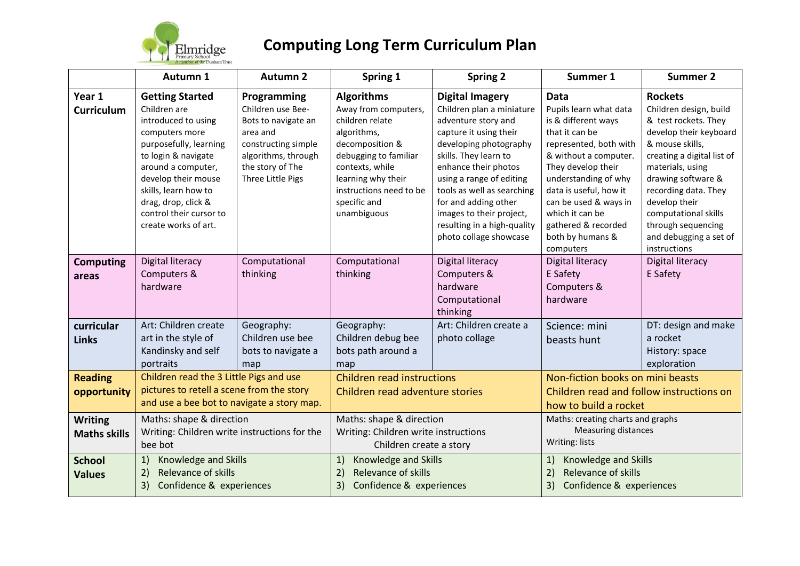

|                                       | Autumn 1                                                                                                                                                                                                                                                                        | <b>Autumn 2</b>                                                                                                                                            | Spring 1                                                                                                                                                                                                                   | <b>Spring 2</b>                                                                                                                                                                                                                                                                                                                                        | Summer 1                                                                                                                                                                                                                                                                                                      | <b>Summer 2</b>                                                                                                                                                                                                                                                                                                        |
|---------------------------------------|---------------------------------------------------------------------------------------------------------------------------------------------------------------------------------------------------------------------------------------------------------------------------------|------------------------------------------------------------------------------------------------------------------------------------------------------------|----------------------------------------------------------------------------------------------------------------------------------------------------------------------------------------------------------------------------|--------------------------------------------------------------------------------------------------------------------------------------------------------------------------------------------------------------------------------------------------------------------------------------------------------------------------------------------------------|---------------------------------------------------------------------------------------------------------------------------------------------------------------------------------------------------------------------------------------------------------------------------------------------------------------|------------------------------------------------------------------------------------------------------------------------------------------------------------------------------------------------------------------------------------------------------------------------------------------------------------------------|
| Year 1<br><b>Curriculum</b>           | <b>Getting Started</b><br>Children are<br>introduced to using<br>computers more<br>purposefully, learning<br>to login & navigate<br>around a computer,<br>develop their mouse<br>skills, learn how to<br>drag, drop, click &<br>control their cursor to<br>create works of art. | Programming<br>Children use Bee-<br>Bots to navigate an<br>area and<br>constructing simple<br>algorithms, through<br>the story of The<br>Three Little Pigs | <b>Algorithms</b><br>Away from computers,<br>children relate<br>algorithms,<br>decomposition &<br>debugging to familiar<br>contexts, while<br>learning why their<br>instructions need to be<br>specific and<br>unambiguous | <b>Digital Imagery</b><br>Children plan a miniature<br>adventure story and<br>capture it using their<br>developing photography<br>skills. They learn to<br>enhance their photos<br>using a range of editing<br>tools as well as searching<br>for and adding other<br>images to their project,<br>resulting in a high-quality<br>photo collage showcase | <b>Data</b><br>Pupils learn what data<br>is & different ways<br>that it can be<br>represented, both with<br>& without a computer.<br>They develop their<br>understanding of why<br>data is useful, how it<br>can be used & ways in<br>which it can be<br>gathered & recorded<br>both by humans &<br>computers | <b>Rockets</b><br>Children design, build<br>& test rockets. They<br>develop their keyboard<br>& mouse skills,<br>creating a digital list of<br>materials, using<br>drawing software &<br>recording data. They<br>develop their<br>computational skills<br>through sequencing<br>and debugging a set of<br>instructions |
| <b>Computing</b><br>areas             | Digital literacy<br>Computers &<br>hardware                                                                                                                                                                                                                                     | Computational<br>thinking                                                                                                                                  | Computational<br>thinking                                                                                                                                                                                                  | Digital literacy<br>Computers &<br>hardware<br>Computational<br>thinking                                                                                                                                                                                                                                                                               | Digital literacy<br>E Safety<br>Computers &<br>hardware                                                                                                                                                                                                                                                       | Digital literacy<br>E Safety                                                                                                                                                                                                                                                                                           |
| curricular<br><b>Links</b>            | Art: Children create<br>art in the style of<br>Kandinsky and self<br>portraits                                                                                                                                                                                                  | Geography:<br>Children use bee<br>bots to navigate a<br>map                                                                                                | Geography:<br>Children debug bee<br>bots path around a<br>map                                                                                                                                                              | Art: Children create a<br>photo collage                                                                                                                                                                                                                                                                                                                | Science: mini<br>beasts hunt                                                                                                                                                                                                                                                                                  | DT: design and make<br>a rocket<br>History: space<br>exploration                                                                                                                                                                                                                                                       |
| <b>Reading</b><br>opportunity         | Children read the 3 Little Pigs and use<br>pictures to retell a scene from the story<br>and use a bee bot to navigate a story map.                                                                                                                                              |                                                                                                                                                            | <b>Children read instructions</b><br>Children read adventure stories                                                                                                                                                       |                                                                                                                                                                                                                                                                                                                                                        | Non-fiction books on mini beasts<br>Children read and follow instructions on<br>how to build a rocket                                                                                                                                                                                                         |                                                                                                                                                                                                                                                                                                                        |
| <b>Writing</b><br><b>Maths skills</b> | Maths: shape & direction<br>Writing: Children write instructions for the<br>bee bot                                                                                                                                                                                             |                                                                                                                                                            | Maths: shape & direction<br>Writing: Children write instructions<br>Children create a story                                                                                                                                |                                                                                                                                                                                                                                                                                                                                                        | Maths: creating charts and graphs<br><b>Measuring distances</b><br>Writing: lists                                                                                                                                                                                                                             |                                                                                                                                                                                                                                                                                                                        |
| <b>School</b><br><b>Values</b>        | Knowledge and Skills<br>1)<br>Relevance of skills<br>2)<br>Confidence & experiences<br>3)                                                                                                                                                                                       |                                                                                                                                                            | Knowledge and Skills<br>1)<br>Relevance of skills<br>2)<br>Confidence & experiences<br>3)                                                                                                                                  |                                                                                                                                                                                                                                                                                                                                                        | 1)<br>Knowledge and Skills<br>Relevance of skills<br>2)<br>Confidence & experiences<br>3)                                                                                                                                                                                                                     |                                                                                                                                                                                                                                                                                                                        |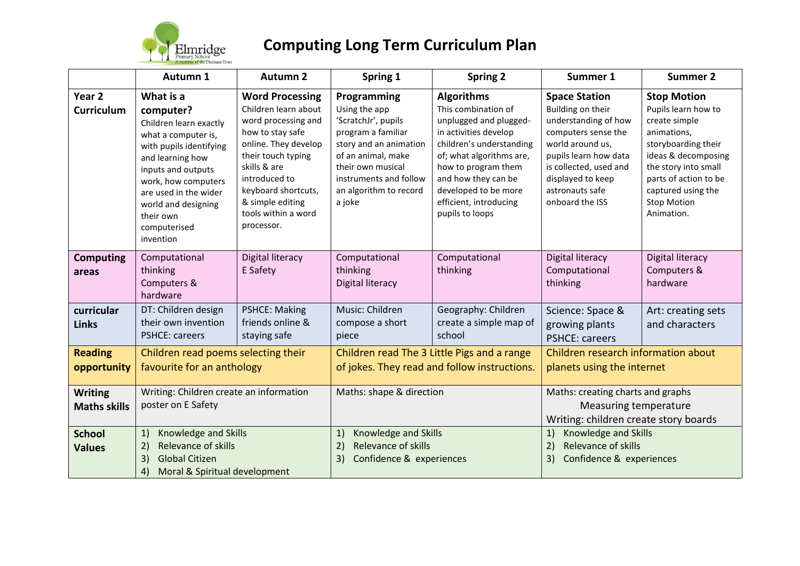

|                                       | Autumn 1                                                                                                                                                                                                                                                      | <b>Autumn 2</b>                                                                                                                                                                                                                                          | Spring 1                                                                                                                                                                                                     | <b>Spring 2</b>                                                                                                                                                                                                                                                        | Summer 1                                                                                                                                                                                                                   | <b>Summer 2</b>                                                                                                                                                                                                                    |
|---------------------------------------|---------------------------------------------------------------------------------------------------------------------------------------------------------------------------------------------------------------------------------------------------------------|----------------------------------------------------------------------------------------------------------------------------------------------------------------------------------------------------------------------------------------------------------|--------------------------------------------------------------------------------------------------------------------------------------------------------------------------------------------------------------|------------------------------------------------------------------------------------------------------------------------------------------------------------------------------------------------------------------------------------------------------------------------|----------------------------------------------------------------------------------------------------------------------------------------------------------------------------------------------------------------------------|------------------------------------------------------------------------------------------------------------------------------------------------------------------------------------------------------------------------------------|
| Year 2<br><b>Curriculum</b>           | What is a<br>computer?<br>Children learn exactly<br>what a computer is,<br>with pupils identifying<br>and learning how<br>inputs and outputs<br>work, how computers<br>are used in the wider<br>world and designing<br>their own<br>computerised<br>invention | <b>Word Processing</b><br>Children learn about<br>word processing and<br>how to stay safe<br>online. They develop<br>their touch typing<br>skills & are<br>introduced to<br>keyboard shortcuts,<br>& simple editing<br>tools within a word<br>processor. | Programming<br>Using the app<br>'ScratchJr', pupils<br>program a familiar<br>story and an animation<br>of an animal, make<br>their own musical<br>instruments and follow<br>an algorithm to record<br>a joke | <b>Algorithms</b><br>This combination of<br>unplugged and plugged-<br>in activities develop<br>children's understanding<br>of; what algorithms are,<br>how to program them<br>and how they can be<br>developed to be more<br>efficient, introducing<br>pupils to loops | <b>Space Station</b><br>Building on their<br>understanding of how<br>computers sense the<br>world around us,<br>pupils learn how data<br>is collected, used and<br>displayed to keep<br>astronauts safe<br>onboard the ISS | <b>Stop Motion</b><br>Pupils learn how to<br>create simple<br>animations,<br>storyboarding their<br>ideas & decomposing<br>the story into small<br>parts of action to be<br>captured using the<br><b>Stop Motion</b><br>Animation. |
| <b>Computing</b><br>areas             | Computational<br>thinking<br>Computers &<br>hardware                                                                                                                                                                                                          | Digital literacy<br>E Safety                                                                                                                                                                                                                             | Computational<br>thinking<br>Digital literacy                                                                                                                                                                | Computational<br>thinking                                                                                                                                                                                                                                              | Digital literacy<br>Computational<br>thinking                                                                                                                                                                              | <b>Digital literacy</b><br>Computers &<br>hardware                                                                                                                                                                                 |
| curricular<br><b>Links</b>            | DT: Children design<br>their own invention<br><b>PSHCE: careers</b>                                                                                                                                                                                           | <b>PSHCE: Making</b><br>friends online &<br>staying safe                                                                                                                                                                                                 | Music: Children<br>compose a short<br>piece                                                                                                                                                                  | Geography: Children<br>create a simple map of<br>school                                                                                                                                                                                                                | Science: Space &<br>growing plants<br><b>PSHCE: careers</b>                                                                                                                                                                | Art: creating sets<br>and characters                                                                                                                                                                                               |
| <b>Reading</b><br>opportunity         | Children read poems selecting their<br>favourite for an anthology                                                                                                                                                                                             |                                                                                                                                                                                                                                                          | Children read The 3 Little Pigs and a range<br>of jokes. They read and follow instructions.                                                                                                                  |                                                                                                                                                                                                                                                                        | Children research information about<br>planets using the internet                                                                                                                                                          |                                                                                                                                                                                                                                    |
| <b>Writing</b><br><b>Maths skills</b> | Writing: Children create an information<br>poster on E Safety                                                                                                                                                                                                 |                                                                                                                                                                                                                                                          | Maths: shape & direction                                                                                                                                                                                     |                                                                                                                                                                                                                                                                        | Maths: creating charts and graphs<br>Measuring temperature<br>Writing: children create story boards                                                                                                                        |                                                                                                                                                                                                                                    |
| <b>School</b><br><b>Values</b>        | Knowledge and Skills<br>1)<br>Relevance of skills<br>2)<br>3)<br><b>Global Citizen</b><br>Moral & Spiritual development<br>4)                                                                                                                                 |                                                                                                                                                                                                                                                          | Knowledge and Skills<br>1)<br>Relevance of skills<br>2)<br>Confidence & experiences<br>3)                                                                                                                    |                                                                                                                                                                                                                                                                        | 1)<br>Knowledge and Skills<br>$\overline{2}$<br>Relevance of skills<br>Confidence & experiences<br>3)                                                                                                                      |                                                                                                                                                                                                                                    |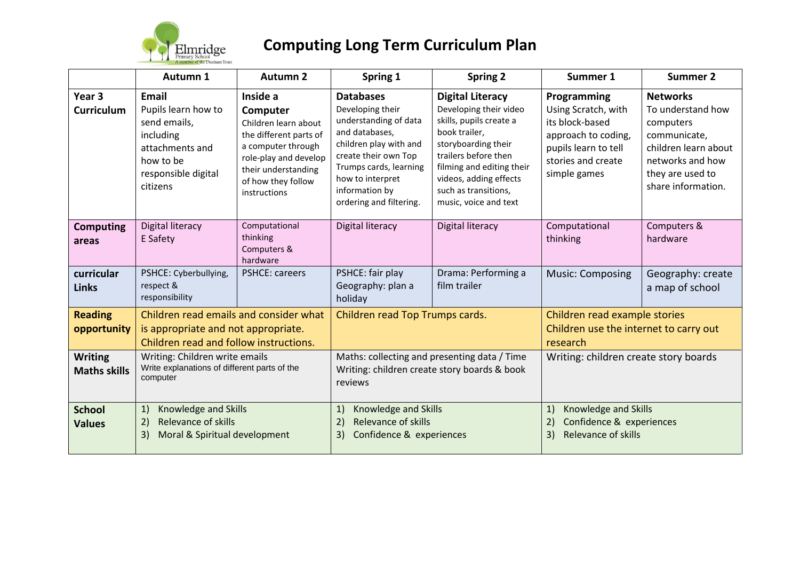

|                                       | Autumn 1                                                                                                                     | <b>Autumn 2</b>                                                                                                                                                                    | Spring 1                                                                                                                                                                                                                     | <b>Spring 2</b>                                                                                                                                                                                                                                      | Summer 1                                                                                                                                   | <b>Summer 2</b>                                                                                                                                         |
|---------------------------------------|------------------------------------------------------------------------------------------------------------------------------|------------------------------------------------------------------------------------------------------------------------------------------------------------------------------------|------------------------------------------------------------------------------------------------------------------------------------------------------------------------------------------------------------------------------|------------------------------------------------------------------------------------------------------------------------------------------------------------------------------------------------------------------------------------------------------|--------------------------------------------------------------------------------------------------------------------------------------------|---------------------------------------------------------------------------------------------------------------------------------------------------------|
| Year 3<br><b>Curriculum</b>           | Email<br>Pupils learn how to<br>send emails,<br>including<br>attachments and<br>how to be<br>responsible digital<br>citizens | Inside a<br>Computer<br>Children learn about<br>the different parts of<br>a computer through<br>role-play and develop<br>their understanding<br>of how they follow<br>instructions | <b>Databases</b><br>Developing their<br>understanding of data<br>and databases,<br>children play with and<br>create their own Top<br>Trumps cards, learning<br>how to interpret<br>information by<br>ordering and filtering. | <b>Digital Literacy</b><br>Developing their video<br>skills, pupils create a<br>book trailer,<br>storyboarding their<br>trailers before then<br>filming and editing their<br>videos, adding effects<br>such as transitions,<br>music, voice and text | Programming<br>Using Scratch, with<br>its block-based<br>approach to coding,<br>pupils learn to tell<br>stories and create<br>simple games | <b>Networks</b><br>To understand how<br>computers<br>communicate,<br>children learn about<br>networks and how<br>they are used to<br>share information. |
| <b>Computing</b><br>areas             | Digital literacy<br>E Safety                                                                                                 | Computational<br>thinking<br>Computers &<br>hardware                                                                                                                               | Digital literacy                                                                                                                                                                                                             | Digital literacy                                                                                                                                                                                                                                     | Computational<br>thinking                                                                                                                  | Computers &<br>hardware                                                                                                                                 |
| curricular<br><b>Links</b>            | PSHCE: Cyberbullying,<br>respect &<br>responsibility                                                                         | <b>PSHCE: careers</b>                                                                                                                                                              | PSHCE: fair play<br>Geography: plan a<br>holiday                                                                                                                                                                             | Drama: Performing a<br>film trailer                                                                                                                                                                                                                  | <b>Music: Composing</b>                                                                                                                    | Geography: create<br>a map of school                                                                                                                    |
| <b>Reading</b><br>opportunity         | Children read emails and consider what<br>is appropriate and not appropriate.<br>Children read and follow instructions.      |                                                                                                                                                                                    | Children read Top Trumps cards.                                                                                                                                                                                              |                                                                                                                                                                                                                                                      | Children read example stories<br>Children use the internet to carry out<br>research                                                        |                                                                                                                                                         |
| <b>Writing</b><br><b>Maths skills</b> | Writing: Children write emails<br>Write explanations of different parts of the<br>computer                                   |                                                                                                                                                                                    | Maths: collecting and presenting data / Time<br>Writing: children create story boards & book<br>reviews                                                                                                                      |                                                                                                                                                                                                                                                      | Writing: children create story boards                                                                                                      |                                                                                                                                                         |
| <b>School</b><br><b>Values</b>        | Knowledge and Skills<br>1)<br>Relevance of skills<br>2)<br>Moral & Spiritual development<br>3)                               |                                                                                                                                                                                    | Knowledge and Skills<br>1)<br>Relevance of skills<br>2)<br>Confidence & experiences<br>3)                                                                                                                                    |                                                                                                                                                                                                                                                      | Knowledge and Skills<br>1)<br>Confidence & experiences<br>2)<br>Relevance of skills<br>3)                                                  |                                                                                                                                                         |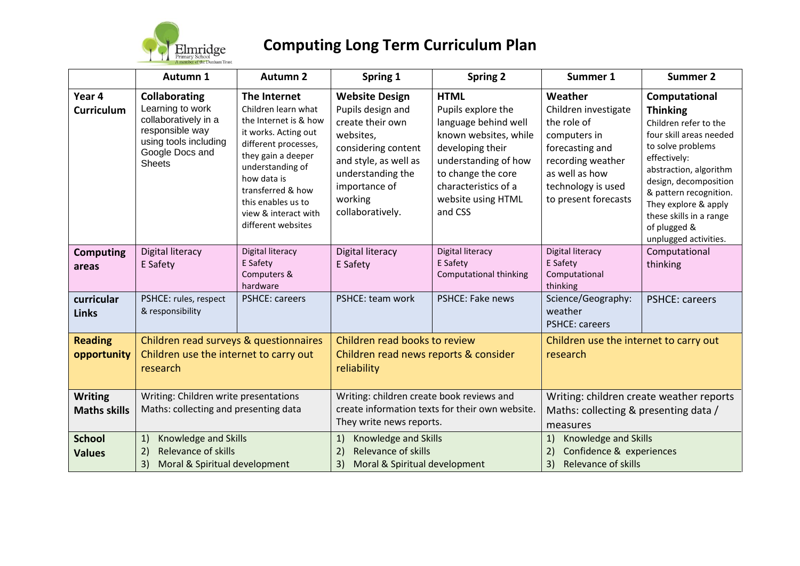

|                                                         | Autumn 1                                                                                                                                         | <b>Autumn 2</b>                                                                                                                                                                                                                                                | Spring 1                                                                                                                                                                                         | <b>Spring 2</b>                                                                                                                                                                                               | Summer 1                                                                                                                                                               | <b>Summer 2</b>                                                                                                                                                                                                                                                           |
|---------------------------------------------------------|--------------------------------------------------------------------------------------------------------------------------------------------------|----------------------------------------------------------------------------------------------------------------------------------------------------------------------------------------------------------------------------------------------------------------|--------------------------------------------------------------------------------------------------------------------------------------------------------------------------------------------------|---------------------------------------------------------------------------------------------------------------------------------------------------------------------------------------------------------------|------------------------------------------------------------------------------------------------------------------------------------------------------------------------|---------------------------------------------------------------------------------------------------------------------------------------------------------------------------------------------------------------------------------------------------------------------------|
| Year 4<br><b>Curriculum</b>                             | <b>Collaborating</b><br>Learning to work<br>collaboratively in a<br>responsible way<br>using tools including<br>Google Docs and<br><b>Sheets</b> | The Internet<br>Children learn what<br>the Internet is & how<br>it works. Acting out<br>different processes,<br>they gain a deeper<br>understanding of<br>how data is<br>transferred & how<br>this enables us to<br>view & interact with<br>different websites | <b>Website Design</b><br>Pupils design and<br>create their own<br>websites,<br>considering content<br>and style, as well as<br>understanding the<br>importance of<br>working<br>collaboratively. | <b>HTML</b><br>Pupils explore the<br>language behind well<br>known websites, while<br>developing their<br>understanding of how<br>to change the core<br>characteristics of a<br>website using HTML<br>and CSS | Weather<br>Children investigate<br>the role of<br>computers in<br>forecasting and<br>recording weather<br>as well as how<br>technology is used<br>to present forecasts | Computational<br><b>Thinking</b><br>Children refer to the<br>four skill areas needed<br>to solve problems<br>effectively:<br>abstraction, algorithm<br>design, decomposition<br>& pattern recognition.<br>They explore & apply<br>these skills in a range<br>of plugged & |
| <b>Computing</b><br>areas<br>curricular<br><b>Links</b> | Digital literacy<br>E Safety<br>PSHCE: rules, respect<br>& responsibility                                                                        | Digital literacy<br>E Safety<br>Computers &<br>hardware<br><b>PSHCE: careers</b>                                                                                                                                                                               | Digital literacy<br>E Safety<br>PSHCE: team work                                                                                                                                                 | Digital literacy<br>E Safety<br>Computational thinking<br>PSHCE: Fake news                                                                                                                                    | Digital literacy<br>E Safety<br>Computational<br>thinking<br>Science/Geography:<br>weather<br><b>PSHCE: careers</b>                                                    | unplugged activities.<br>Computational<br>thinking<br><b>PSHCE: careers</b>                                                                                                                                                                                               |
| <b>Reading</b><br>opportunity                           | Children read surveys & questionnaires<br>Children use the internet to carry out<br>research                                                     |                                                                                                                                                                                                                                                                | Children read books to review<br>Children read news reports & consider<br>reliability                                                                                                            |                                                                                                                                                                                                               | Children use the internet to carry out<br>research                                                                                                                     |                                                                                                                                                                                                                                                                           |
| <b>Writing</b><br><b>Maths skills</b>                   | Writing: Children write presentations<br>Maths: collecting and presenting data                                                                   |                                                                                                                                                                                                                                                                | Writing: children create book reviews and<br>create information texts for their own website<br>They write news reports.                                                                          |                                                                                                                                                                                                               | Writing: children create weather reports<br>Maths: collecting & presenting data /<br>measures                                                                          |                                                                                                                                                                                                                                                                           |
| <b>School</b><br><b>Values</b>                          | Knowledge and Skills<br>1)<br>Relevance of skills<br>2)<br>3)<br>Moral & Spiritual development                                                   |                                                                                                                                                                                                                                                                | Knowledge and Skills<br>1)<br>Relevance of skills<br>2)<br>3)<br>Moral & Spiritual development                                                                                                   |                                                                                                                                                                                                               | Knowledge and Skills<br>1)<br>Confidence & experiences<br>3)<br>Relevance of skills                                                                                    |                                                                                                                                                                                                                                                                           |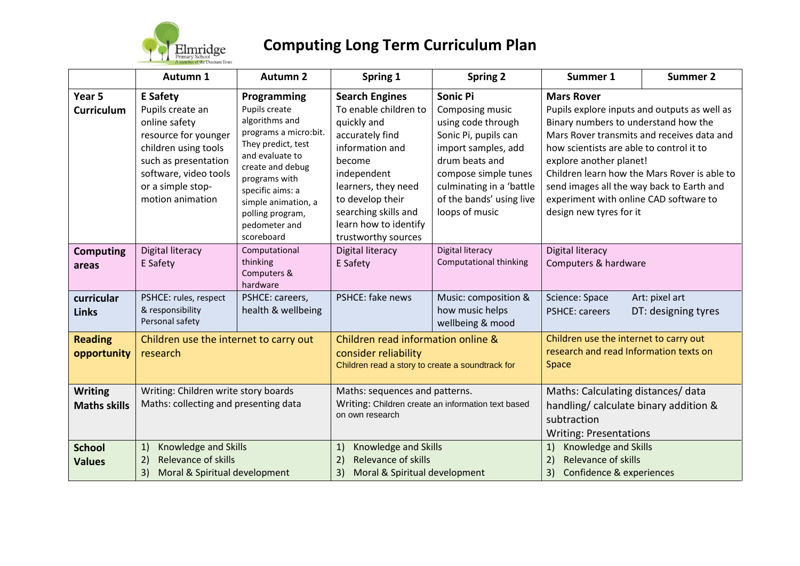

|                                       | Autumn 1                                                                                                                                                                                       | <b>Autumn 2</b>                                                                                                                                                                                                                                     | Spring 1                                                                                                                                                                                                                                        | <b>Spring 2</b>                                                                                                                                                                                                             | Summer 1                                                                                                                                                                                                                                                                                                                                                                                         | <b>Summer 2</b>                                                         |  |
|---------------------------------------|------------------------------------------------------------------------------------------------------------------------------------------------------------------------------------------------|-----------------------------------------------------------------------------------------------------------------------------------------------------------------------------------------------------------------------------------------------------|-------------------------------------------------------------------------------------------------------------------------------------------------------------------------------------------------------------------------------------------------|-----------------------------------------------------------------------------------------------------------------------------------------------------------------------------------------------------------------------------|--------------------------------------------------------------------------------------------------------------------------------------------------------------------------------------------------------------------------------------------------------------------------------------------------------------------------------------------------------------------------------------------------|-------------------------------------------------------------------------|--|
| Year 5<br><b>Curriculum</b>           | <b>E</b> Safety<br>Pupils create an<br>online safety<br>resource for younger<br>children using tools<br>such as presentation<br>software, video tools<br>or a simple stop-<br>motion animation | Programming<br>Pupils create<br>algorithms and<br>programs a micro:bit.<br>They predict, test<br>and evaluate to<br>create and debug<br>programs with<br>specific aims: a<br>simple animation, a<br>polling program,<br>pedometer and<br>scoreboard | <b>Search Engines</b><br>To enable children to<br>quickly and<br>accurately find<br>information and<br>become<br>independent<br>learners, they need<br>to develop their<br>searching skills and<br>learn how to identify<br>trustworthy sources | <b>Sonic Pi</b><br>Composing music<br>using code through<br>Sonic Pi, pupils can<br>import samples, add<br>drum beats and<br>compose simple tunes<br>culminating in a 'battle<br>of the bands' using live<br>loops of music | <b>Mars Rover</b><br>Pupils explore inputs and outputs as well as<br>Binary numbers to understand how the<br>Mars Rover transmits and receives data and<br>how scientists are able to control it to<br>explore another planet!<br>Children learn how the Mars Rover is able to<br>send images all the way back to Earth and<br>experiment with online CAD software to<br>design new tyres for it |                                                                         |  |
| <b>Computing</b><br>areas             | Digital literacy<br>E Safety                                                                                                                                                                   | Computational<br>thinking<br>Computers &<br>hardware                                                                                                                                                                                                | Digital literacy<br>E Safety                                                                                                                                                                                                                    | Digital literacy<br><b>Computational thinking</b>                                                                                                                                                                           | Digital literacy<br>Computers & hardware                                                                                                                                                                                                                                                                                                                                                         |                                                                         |  |
| curricular<br><b>Links</b>            | PSHCE: rules, respect<br>& responsibility<br>Personal safety                                                                                                                                   | PSHCE: careers,<br>health & wellbeing                                                                                                                                                                                                               | PSHCE: fake news                                                                                                                                                                                                                                | Music: composition &<br>how music helps<br>wellbeing & mood                                                                                                                                                                 | Science: Space<br><b>PSHCE: careers</b>                                                                                                                                                                                                                                                                                                                                                          | Art: pixel art<br>DT: designing tyres                                   |  |
| <b>Reading</b><br>opportunity         | Children use the internet to carry out<br>research                                                                                                                                             |                                                                                                                                                                                                                                                     | Children read information online &<br>consider reliability<br>Space<br>Children read a story to create a soundtrack for                                                                                                                         |                                                                                                                                                                                                                             | Children use the internet to carry out<br>research and read Information texts on                                                                                                                                                                                                                                                                                                                 |                                                                         |  |
| <b>Writing</b><br><b>Maths skills</b> | Writing: Children write story boards<br>Maths: collecting and presenting data                                                                                                                  |                                                                                                                                                                                                                                                     | Maths: sequences and patterns.<br>Writing: Children create an information text based<br>on own research                                                                                                                                         |                                                                                                                                                                                                                             | Maths: Calculating distances/data<br>handling/ calculate binary addition &<br>subtraction<br><b>Writing: Presentations</b>                                                                                                                                                                                                                                                                       |                                                                         |  |
| <b>School</b><br><b>Values</b>        | Knowledge and Skills<br>1)<br>Relevance of skills<br>2)<br>Moral & Spiritual development<br>3)                                                                                                 |                                                                                                                                                                                                                                                     | Knowledge and Skills<br>1)<br>Relevance of skills<br>2)<br>3)<br>Moral & Spiritual development                                                                                                                                                  |                                                                                                                                                                                                                             | 1)<br>2)<br>3)                                                                                                                                                                                                                                                                                                                                                                                   | Knowledge and Skills<br>Relevance of skills<br>Confidence & experiences |  |